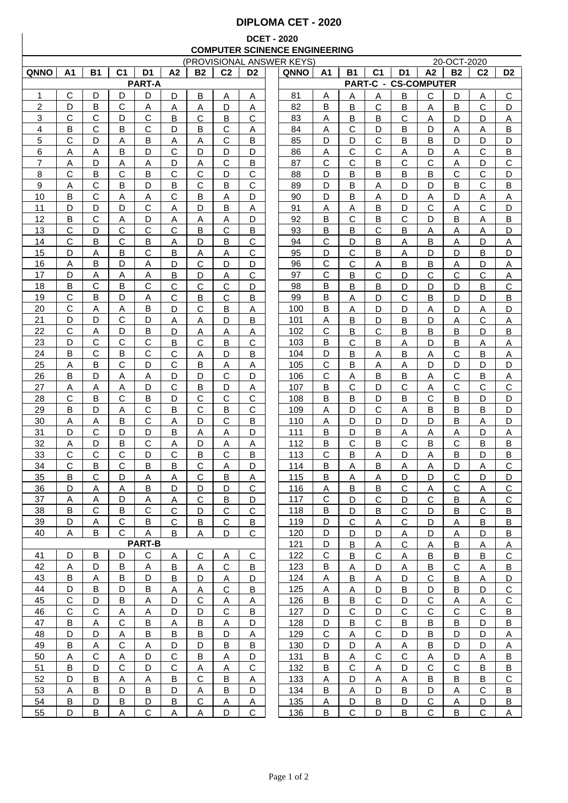## **DIPLOMA CET - 2020**

## **DCET - 2020 COMPUTER SCINENCE ENGINEERING**

| (PROVISIONAL ANSWER KEYS) |                |              |                |                |                |              |                |                | 20-OCT-2020 |                |              |                |              |                             |              |                |                |
|---------------------------|----------------|--------------|----------------|----------------|----------------|--------------|----------------|----------------|-------------|----------------|--------------|----------------|--------------|-----------------------------|--------------|----------------|----------------|
| QNNO                      | A <sub>1</sub> | <b>B1</b>    | C <sub>1</sub> | D <sub>1</sub> | A <sub>2</sub> | <b>B2</b>    | C <sub>2</sub> | D <sub>2</sub> | QNNO        | A <sub>1</sub> | <b>B1</b>    | C <sub>1</sub> | D1           | A2                          | <b>B2</b>    | C <sub>2</sub> | D <sub>2</sub> |
|                           |                |              |                | <b>PART-A</b>  |                |              |                |                |             |                |              |                |              | <b>PART-C - CS-COMPUTER</b> |              |                |                |
| 1                         | C              | D            | D              | D              | D              | B            | A              | $\overline{A}$ | 81          | Α              | Α            | A              | B            | C                           | D            | A              | $\mathsf C$    |
|                           | D              | B            | $\mathbf C$    |                |                |              |                |                | 82          | B              |              | $\mathsf{C}$   |              |                             |              | $\mathbf C$    |                |
| 2                         |                |              |                | A              | Α              | <u>А</u>     | D              | $\overline{A}$ |             |                | B            |                | B            | Α                           | B            |                | D              |
| 3                         | C              | С            | D              | $\mathbf C$    | B              | $\mathbf C$  | B              | $\mathsf{C}$   | 83          | Α              | В            | B              | C            | Α                           | D            | D              | Α              |
| 4                         | B              | C            | B              | $\mathsf{C}$   | D              | B            | $\mathbf C$    | Α              | 84          | Α              | C            | D              | В            | D                           | Α            | Α              | B              |
| 5                         | C              | D            | Α              | B              | Α              | Α            | C              | B              | 85          | D              | D            | C              | В            | B                           | D            | D              | D              |
| 6                         | Α              | Α            | B              | D              | C              | D            | D              | D              | 86          | Α              | C            | C              | Α            | D                           | Α            | С              | B              |
| 7                         | Α              | D            | Α              | Α              | D              | Α            | C              | B              | 87          | C              | С            | в              | С            | C                           | Α            | D              | С              |
| 8                         | С              | B            | С              | В              | C              | C            | D              | C              | 88          | D              | в            | в              | B            | в                           | C            | С              | D              |
| 9                         |                | С            | B              | D              | В              | С            | В              | С              | 89          | D              | В            |                | D            | D                           | в            | С              | B              |
|                           | Α              |              |                |                |                |              |                |                |             |                |              | Α              |              |                             |              |                |                |
| 10                        | B              | С            | Α              | Α              | C              | В            | Α              | D              | 90          | D              | B            | A              | D            | A                           | D            | Α              | Α              |
| 11                        | D              | D            | D              | С              | Α              | D            | В              | Α              | 91          | Α              | Α            | B              | D            | С                           | Α            | С              | D              |
| 12                        | B              | С            | Α              | D              | Α              | Α            | Α              | D              | 92          | B              | С            | B              | C            | D                           | в            | Α              | B              |
| 13                        | $\mathsf{C}$   | D            | $\mathsf{C}$   | $\mathsf C$    | C              | В            | $\mathsf{C}$   | В              | 93          | B              | В            | $\mathsf{C}$   | B            | Α                           | Α            | Α              | D              |
| 14                        | $\mathsf{C}$   | B            | $\mathsf{C}$   | B              | Α              | D            | B              | $\mathsf{C}$   | 94          | $\mathsf{C}$   | D            | B              | Α            | B                           | Α            | D              | Α              |
| 15                        | D              | Α            | B              | С              | B              | Α            | Α              | C              | 95          | D              | C            | B              | Α            | D                           | D            | B              | D              |
|                           |                |              | D              |                |                | $\mathsf{C}$ | D              |                |             | $\mathsf{C}$   | $\mathsf{C}$ |                |              |                             |              |                |                |
| 16                        | Α              | В            |                | А              | D              |              |                | D              | 96          |                |              | Α              | B            | B                           | Α            | D              | Α              |
| 17                        | D              | Α            | A              | Α              | B              | D            | Α              | $\mathsf{C}$   | 97          | $\mathsf{C}$   | B            | C              | D            | $\mathbf C$                 | $\mathsf{C}$ | C              | Α              |
| 18                        | В              | C            | в              | С              | $\mathsf{C}$   | C            | C              | D              | 98          | В              | в            | B              | D            | D                           | D            | B              | С              |
| 19                        | $\mathsf{C}$   | B            | D              | Α              | $\mathbf C$    | B            | $\mathsf{C}$   | B              | 99          | B              | Α            | D              | $\mathsf{C}$ | B                           | D            | D              | B              |
| 20                        | C              | Α            | Α              | В              | D              | C            | B              | Α              | 100         | B              | Α            | D              | D            | A                           | D            | Α              | D              |
| 21                        | D              | D            | С              | D              | Α              | Α            | D              | B              | 101         | Α              | в            | D              | B            | D                           | Α            | C              | Α              |
| 22                        | C              | Α            | D              | B              | D              | Α            | Α              | Α              | 102         | С              | в            | C              | в            | B                           | в            | D              | B              |
| 23                        | D              | С            | $\mathsf{C}$   | $\mathsf C$    | B              | С            | B              | C              | 103         | B              | С            | B              | Α            | D                           | В            | Α              | Α              |
|                           |                |              |                |                |                |              |                |                |             |                |              |                |              |                             |              |                |                |
| 24                        | в              | C            | В              | $\mathbf C$    | $\mathbf C$    | Α            | D              | B              | 104         | D              | В            | Α              | В            | Α                           | C            | B              | Α              |
| 25                        | Α              | B            | C              | D              | $\mathbf C$    | В            | Α              | Α              | 105         | C              | В            | Α              | Α            | D                           | D            | D              | D              |
| 26                        | B              | D            | Α              | A              | D              | D            | $\mathsf{C}$   | D              | 106         | C              | Α            | B              | B            | A                           | C            | B              | <u>A</u>       |
| 27                        | Α              | Α            | A              | D              | C              | В            | D              | A              | 107         | B              | C            | D              | C            | Α                           | C            | C              | $\mathsf C$    |
| 28                        | C              | В            | C              | B              | D              | С            | $\mathsf{C}$   | C              | 108         | B              | В            | D              | В            | C                           | В            | D              | D              |
| 29                        | B              | D            | A              | $\mathbf C$    | B              | C            | B              | $\mathsf{C}$   | 109         | A              | D            | C              | Α            | B                           | B            | B              | D              |
| 30                        | Α              | Α            | В              | C              | Α              | D            | C              | В              | 110         | Α              | D            | D              | D            | D                           | в            | Α              | D              |
| 31                        | D              | C            | D              | D              | B              | Α            | Α              | D              | 111         | В              | D            | В              | Α            | Α                           | Α            | D              | Α              |
|                           |                |              |                |                |                |              |                |                |             |                |              |                |              |                             |              |                |                |
| 32                        | Α              | D            | в              | С              | Α              | D            | Α              | Α              | 112         | B              | C            | в              | C            | в                           | C            | B              | B              |
| 33                        | C              | С            | С              | D              | C              | B            | C              | B              | 113         | С              | В            | Α              | D            | Α                           | B            | D              | В              |
| 34                        | С              | B            | С              | B              | в              | С            | Α              | D              | 114         | B              | Α            | в              | Α            | Α                           | D            | Α              | С              |
| 35                        | B              | С            | D              | Α              | Α              | C            | B              | Α              | 115         | в              | Α            | Α              | D            | D                           | С            | D              | D              |
| 36                        | D              | A            | Α              | В              | D              | D            | D              | С              | 116         | A              | в            | B              | С            | A                           | С            | A              | С              |
| 37                        | Α              | A            | D              | A              | A              | C            | B              | D              | 117         | C              | D            | $\mathsf{C}$   | D            | C                           | B            | Α              | С              |
| 38                        | B              | $\mathsf{C}$ | B              | $\mathsf{C}$   | C              | D            | $\mathbf C$    | С              | 118         | B              | D            | B              | C            | D                           | B            | С              | В              |
| 39                        | D              |              | $\mathsf{C}$   | B              | $\mathsf{C}$   | В            | $\mathbf C$    | В              | 119         | D              | C            | Α              | $\mathsf{C}$ | D                           |              | В              | B              |
|                           |                | Α            |                |                |                |              |                |                |             |                |              |                |              |                             | Α            |                |                |
| 40                        | A              | B            | $\mathbf{C}$   | Α              | B              | Α            | D              | $\mathsf{C}$   | 120         | D              | D            | D              | Α            | D                           | Α            | D              | В              |
|                           |                |              |                | <b>PART-B</b>  |                |              |                |                | 121         | D              | B            | $\overline{A}$ | $\mathsf{C}$ | A                           | B            | <u>A</u>       | <u>A</u>       |
| 41                        | D              | B            | D              | C              | A              | C            | Α              | С              | 122         | $\mathsf{C}$   | В            | $\mathsf{C}$   | A            | B                           | В            | B              | $\mathbf C$    |
| 42                        | Α              | D            | B              | A              | B              | Α            | $\mathsf{C}$   | В              | 123         | B              | Α            | D              | A            | B                           | C            | Α              | B              |
| 43                        | B              | A            | B              | D.             | B              | D            | Α              | D              | 124         | Α              | B            | A              | D            | C                           | В            | A              | D              |
| 44                        | D              | В            | D              | B              | A              | Α            | $\mathsf{C}$   | В              | 125         | Α              | A            | D              | B            | D                           | B            | D              | $\mathsf{C}$   |
| 45                        | С              | D            | B              | A              | D              | C            | A              | A              | 126         | B              | B            | C              | D            | C                           | Α            | Α              | $\mathsf C$    |
| 46                        | C              | С            | A              | A              | D              | D            | C              | В              | 127         | D              | C            | D              | C            | C                           | C            | C              | B              |
|                           |                |              |                |                |                |              |                |                |             |                |              |                |              |                             |              |                |                |
| 47                        | B              | Α            | C              | В              | A              | В            | A              | D              | 128         | D              | B            | $\mathsf{C}$   | B            | B                           | В            | D              | B              |
| 48                        | D              | D            | A              | В              | B              | В            | D              | Α              | 129         | C              | A            | $\mathsf{C}$   | D            | B                           | D            | D              | Α              |
| 49                        | В              | Α            | $\mathbf C$    | A              | D              | D            | B              | В              | 130         | D              | D            | A              | A            | B                           | D            | D              | Α              |
| 50                        | Α              | $\mathsf{C}$ | Α              | D              | $\mathsf{C}$   | B            | A              | D              | 131         | В              | A            | $\mathbf C$    | $\mathsf{C}$ | A                           | D            | A              | B              |
| 51                        | B              | D            | C              | D              | $\mathsf{C}$   | Α            | A              | $\mathbf C$    | 132         | B              | C            | A              | D            | $\mathsf{C}$                | C            | B              | B              |
| 52                        | D              | В            | Α              | Α              | B              | $\mathbf C$  | B              | $\overline{A}$ | 133         | Α              | D            | A              | A            | B                           | B            | B              | $\mathsf C$    |
| 53                        | Α              | В            | D              | В              | D              |              | B              | D              | 134         | B              |              | D              | B            | D                           |              | $\mathbf C$    | B              |
|                           |                |              |                |                |                | Α            |                |                |             |                | Α            |                |              |                             | Α            |                |                |
| 54                        | B              | D            | В              | D              | В              | C            | Α              | Α              | 135         | Α              | D            | B              | D            | C                           | Α            | D              | В              |
| 55                        | D              | В            | Α              | С              | $\overline{A}$ | Α            | D              | С              | 136         | B              | C            | D              | В            | C.                          | В            | C              | A              |